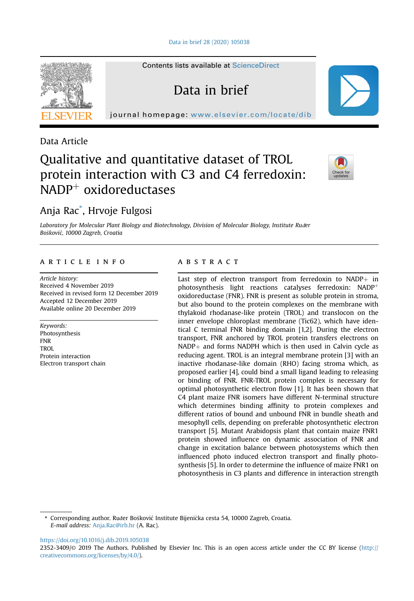Contents lists available at [ScienceDirect](www.sciencedirect.com/science/journal/23523409)

Data in brief

journal homepage: <www.elsevier.com/locate/dib>



Data Article

# Qualitative and quantitative dataset of TROL protein interaction with C3 and C4 ferredoxin:  $NADP^+$  oxidoreductases



# Anja Rac\* , Hrvoje Fulgosi

Laboratory for Molecular Plant Biology and Biotechnology, Division of Molecular Biology, Institute Ruder Boskovic, 10000 Zagreb, Croatia

## article info

Article history: Received 4 November 2019 Received in revised form 12 December 2019 Accepted 12 December 2019 Available online 20 December 2019

Keywords: Photosynthesis FNR TROL Protein interaction Electron transport chain

# ABSTRACT

Last step of electron transport from ferredoxin to  $NADP+$  in photosynthesis light reactions catalyses ferredoxin:  $NADP<sup>+</sup>$ oxidoreductase (FNR). FNR is present as soluble protein in stroma, but also bound to the protein complexes on the membrane with thylakoid rhodanase-like protein (TROL) and translocon on the inner envelope chloroplast membrane (Tic62), which have identical C terminal FNR binding domain [1,2]. During the electron transport, FNR anchored by TROL protein transfers electrons on  $NADP<sub>+</sub>$  and forms NADPH which is then used in Calvin cycle as reducing agent. TROL is an integral membrane protein [3] with an inactive rhodanase-like domain (RHO) facing stroma which, as proposed earlier [4], could bind a small ligand leading to releasing or binding of FNR. FNR-TROL protein complex is necessary for optimal photosynthetic electron flow [1]. It has been shown that C4 plant maize FNR isomers have different N-terminal structure which determines binding affinity to protein complexes and different ratios of bound and unbound FNR in bundle sheath and mesophyll cells, depending on preferable photosynthetic electron transport [5]. Mutant Arabidopsis plant that contain maize FNR1 protein showed influence on dynamic association of FNR and change in excitation balance between photosystems which then influenced photo induced electron transport and finally photosynthesis [5]. In order to determine the influence of maize FNR1 on photosynthesis in C3 plants and difference in interaction strength

\* Corresponding author. Ruder Bošković Institute Bijenička cesta 54, 10000 Zagreb, Croatia. E-mail address: [Anja.Rac@irb.hr](mailto:Anja.Rac@irb.hr) (A. Rac).

<https://doi.org/10.1016/j.dib.2019.105038>

<sup>2352-3409/</sup>© 2019 The Authors. Published by Elsevier Inc. This is an open access article under the CC BY license ([http://](http://creativecommons.org/licenses/by/4.0/) [creativecommons.org/licenses/by/4.0/](http://creativecommons.org/licenses/by/4.0/)).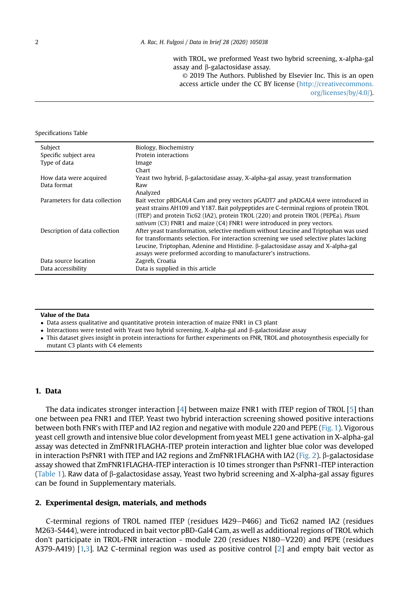with TROL, we preformed Yeast two hybrid screening, x-alpha-gal assay and  $\beta$ -galactosidase assay.

© 2019 The Authors. Published by Elsevier Inc. This is an open access article under the CC BY license [\(http://creativecommons.](http://creativecommons.org/licenses/by/4.0/) [org/licenses/by/4.0/\)](http://creativecommons.org/licenses/by/4.0/).

#### Specifications Table

| Subject                        | Biology, Biochemistry                                                                                                                                                                                                                                                                                                                          |
|--------------------------------|------------------------------------------------------------------------------------------------------------------------------------------------------------------------------------------------------------------------------------------------------------------------------------------------------------------------------------------------|
| Specific subject area          | Protein interactions                                                                                                                                                                                                                                                                                                                           |
| Type of data                   | Image                                                                                                                                                                                                                                                                                                                                          |
|                                | Chart                                                                                                                                                                                                                                                                                                                                          |
| How data were acquired         | Yeast two hybrid, $\beta$ -galactosidase assay, X-alpha-gal assay, yeast transformation                                                                                                                                                                                                                                                        |
| Data format                    | Raw                                                                                                                                                                                                                                                                                                                                            |
|                                | Analyzed                                                                                                                                                                                                                                                                                                                                       |
| Parameters for data collection | Bait vector pBDGAL4 Cam and prey vectors pGADT7 and pADGAL4 were introduced in<br>yeast strains AH109 and Y187. Bait polypeptides are C-terminal regions of protein TROL<br>(ITEP) and protein Tic62 (IA2), protein TROL (220) and protein TROL (PEPEa). Pisum<br>sativum $(C3)$ FNR1 and maize $(C4)$ FNR1 were introduced in prey vectors.   |
| Description of data collection | After yeast transformation, selective medium without Leucine and Triptophan was used<br>for transformants selection. For interaction screening we used selective plates lacking<br>Leucine, Triptophan, Adenine and Histidine. $\beta$ -galactosidase assay and X-alpha-gal<br>assays were preformed according to manufacturer's instructions. |
| Data source location           | Zagreb, Croatia                                                                                                                                                                                                                                                                                                                                |
| Data accessibility             | Data is supplied in this article                                                                                                                                                                                                                                                                                                               |

#### Value of the Data

- Data assess qualitative and quantitative protein interaction of maize FNR1 in C3 plant

 $\bullet$  Interactions were tested with Yeast two hybrid screening, X-alpha-gal and  $\upbeta$ -galactosidase assay

- This dataset gives insight in protein interactions for further experiments on FNR, TROL and photosynthesis especially for mutant C3 plants with C4 elements

#### 1. Data

The data indicates stronger interaction [\[4](#page-3-0)] between maize FNR1 with ITEP region of TROL [\[5\]](#page-3-0) than one between pea FNR1 and ITEP. Yeast two hybrid interaction screening showed positive interactions between both FNR's with ITEP and IA2 region and negative with module 220 and PEPE ([Fig. 1](#page-2-0)). Vigorous yeast cell growth and intensive blue color development from yeast MEL1 gene activation in X-alpha-gal assay was detected in ZmFNR1FLAGHA-ITEP protein interaction and lighter blue color was developed in interaction PsFNR1 with ITEP and IA2 regions and ZmFNR1FLAGHA with IA2 [\(Fig. 2\)](#page-2-0). b-galactosidase assay showed that ZmFNR1FLAGHA-ITEP interaction is 10 times stronger than PsFNR1-ITEP interaction ([Table 1\)](#page-3-0). Raw data of b-galactosidase assay, Yeast two hybrid screening and X-alpha-gal assay figures can be found in Supplementary materials.

#### 2. Experimental design, materials, and methods

C-terminal regions of TROL named ITEP (residues  $1429 - P466$ ) and Tic62 named IA2 (residues M263-S444), were introduced in bait vector pBD-Gal4 Cam, as well as additional regions of TROL which don't participate in TROL-FNR interaction - module 220 (residues N180-V220) and PEPE (residues A379-A419) [[1,3](#page-3-0)]. IA2 C-terminal region was used as positive control [[2](#page-3-0)] and empty bait vector as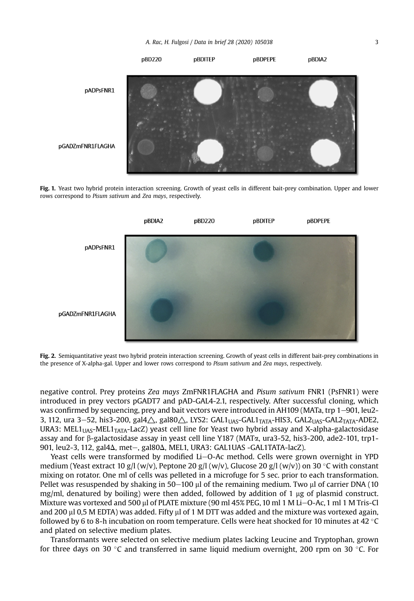<span id="page-2-0"></span>

Fig. 1. Yeast two hybrid protein interaction screening. Growth of yeast cells in different bait-prey combination. Upper and lower rows correspond to Pisum sativum and Zea mays, respectively.



Fig. 2. Semiquantitative yeast two hybrid protein interaction screening. Growth of yeast cells in different bait-prey combinations in the presence of X-alpha-gal. Upper and lower rows correspond to Pisum sativum and Zea mays, respectively.

negative control. Prey proteins Zea mays ZmFNR1FLAGHA and Pisum sativum FNR1 (PsFNR1) were introduced in prey vectors pGADT7 and pAD-GAL4-2.1, respectively. After successful cloning, which was confirmed by sequencing, prey and bait vectors were introduced in AH109 (MATa, trp  $1-901$ , leu2-3, 112, ura 3-52, his3-200, gal $4\triangle$ , gal $80\triangle$ , LYS2: GAL1<sub>UAS</sub>-GAL1<sub>TATA</sub>-HIS3, GAL2<sub>UAS</sub>-GAL2<sub>TATA</sub>-ADE2, URA3: MEL1<sub>UAS</sub>-MEL1<sub>TATA</sub>-LacZ) yeast cell line for Yeast two hybrid assay and X-alpha-galactosidase assay and for  $\beta$ -galactosidase assay in yeast cell line Y187 (MAT $\alpha$ , ura3-52, his3-200, ade2-101, trp1-901, leu2-3, 112, gal $4\Delta$ , met-, gal $80\Delta$ , MEL1, URA3: GAL1UAS -GAL1TATA-lacZ).

Yeast cells were transformed by modified Li-O-Ac method. Cells were grown overnight in YPD medium (Yeast extract 10 g/l (w/v), Peptone 20 g/l (w/v), Glucose 20 g/l (w/v)) on 30 °C with constant mixing on rotator. One ml of cells was pelleted in a microfuge for 5 sec. prior to each transformation. Pellet was resuspended by shaking in  $50-100$   $\mu$  of the remaining medium. Two  $\mu$  of carrier DNA (10) mg/ml, denatured by boiling) were then added, followed by addition of 1  $\mu$ g of plasmid construct. Mixture was vortexed and 500 µl of PLATE mixture (90 ml 45% PEG, 10 ml 1 M Li-O-Ac, 1 ml 1 M Tris-Cl and 200  $\mu$ l 0,5 M EDTA) was added. Fifty  $\mu$ l of 1 M DTT was added and the mixture was vortexed again, followed by 6 to 8-h incubation on room temperature. Cells were heat shocked for 10 minutes at 42  $\degree$ C and plated on selective medium plates.

Transformants were selected on selective medium plates lacking Leucine and Tryptophan, grown for three days on 30 °C and transferred in same liquid medium overnight, 200 rpm on 30 °C. For